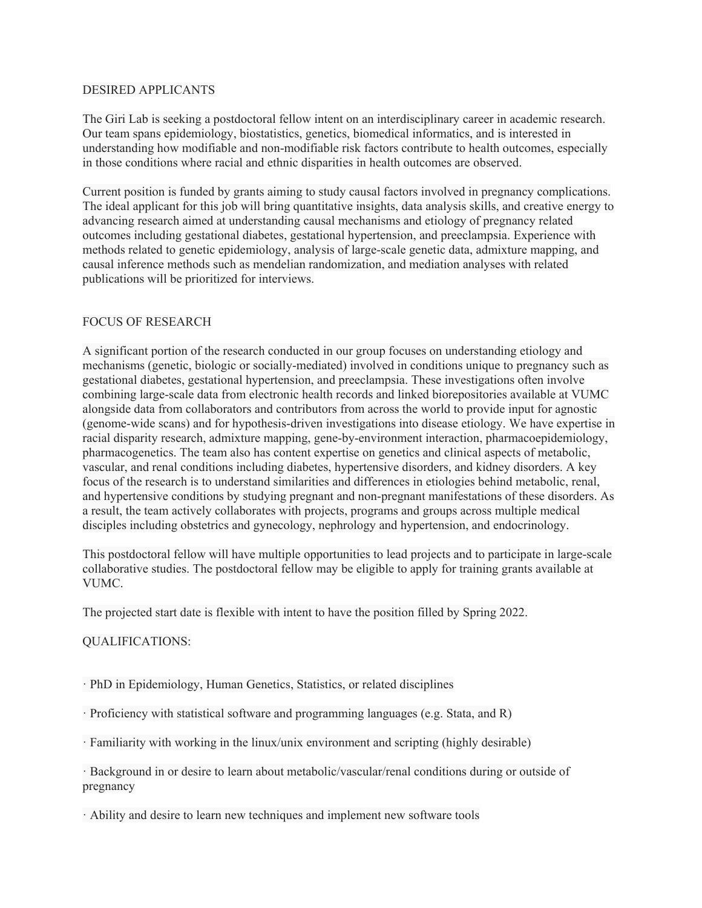## DESIRED APPLICANTS

The Giri Lab is seeking a postdoctoral fellow intent on an interdisciplinary career in academic research. Our team spans epidemiology, biostatistics, genetics, biomedical informatics, and is interested in understanding how modifiable and non-modifiable risk factors contribute to health outcomes, especially in those conditions where racial and ethnic disparities in health outcomes are observed.

Current position is funded by grants aiming to study causal factors involved in pregnancy complications. The ideal applicant for this job will bring quantitative insights, data analysis skills, and creative energy to advancing research aimed at understanding causal mechanisms and etiology of pregnancy related outcomes including gestational diabetes, gestational hypertension, and preeclampsia. Experience with methods related to genetic epidemiology, analysis of large-scale genetic data, admixture mapping, and causal inference methods such as mendelian randomization, and mediation analyses with related publications will be prioritized for interviews.

## FOCUS OF RESEARCH

A significant portion of the research conducted in our group focuses on understanding etiology and mechanisms (genetic, biologic or socially-mediated) involved in conditions unique to pregnancy such as gestational diabetes, gestational hypertension, and preeclampsia. These investigations often involve combining large-scale data from electronic health records and linked biorepositories available at VUMC alongside data from collaborators and contributors from across the world to provide input for agnostic (genome-wide scans) and for hypothesis-driven investigations into disease etiology. We have expertise in racial disparity research, admixture mapping, gene-by-environment interaction, pharmacoepidemiology, pharmacogenetics. The team also has content expertise on genetics and clinical aspects of metabolic, vascular, and renal conditions including diabetes, hypertensive disorders, and kidney disorders. A key focus of the research is to understand similarities and differences in etiologies behind metabolic, renal, and hypertensive conditions by studying pregnant and non-pregnant manifestations of these disorders. As a result, the team actively collaborates with projects, programs and groups across multiple medical disciples including obstetrics and gynecology, nephrology and hypertension, and endocrinology.

This postdoctoral fellow will have multiple opportunities to lead projects and to participate in large-scale collaborative studies. The postdoctoral fellow may be eligible to apply for training grants available at VUMC.

The projected start date is flexible with intent to have the position filled by Spring 2022.

## QUALIFICATIONS:

· PhD in Epidemiology, Human Genetics, Statistics, or related disciplines

· Proficiency with statistical software and programming languages (e.g. Stata, and R)

· Familiarity with working in the linux/unix environment and scripting (highly desirable)

· Background in or desire to learn about metabolic/vascular/renal conditions during or outside of pregnancy

· Ability and desire to learn new techniques and implement new software tools